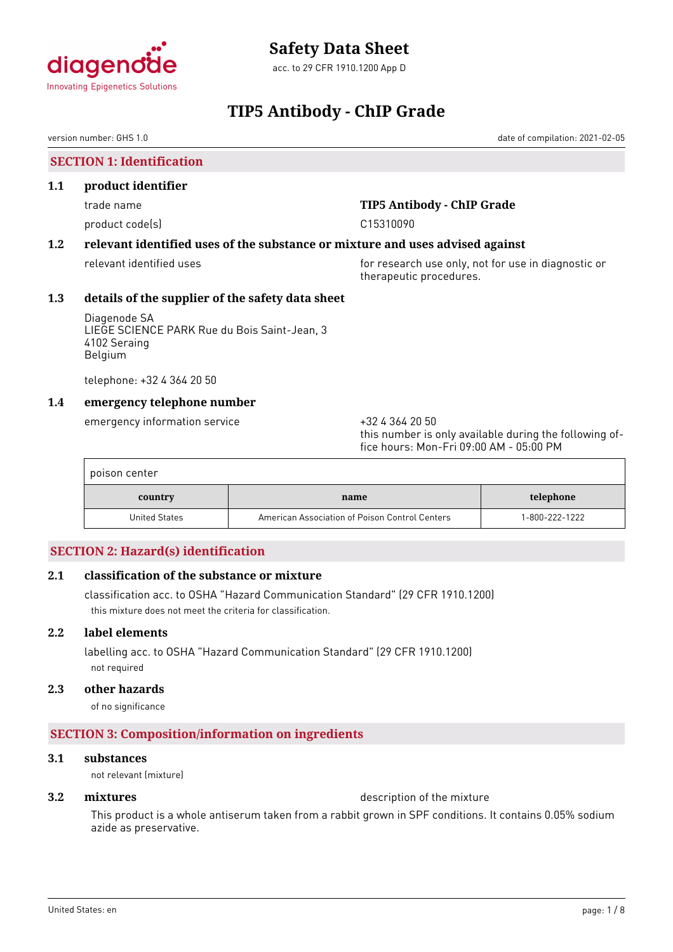

# **Safety Data Sheet**

acc. to 29 CFR 1910.1200 App D

# **TIP5 Antibody - ChIP Grade**

version number: GHS 1.0 date of compilation: 2021-02-05

**SECTION 1: Identification**

### **1.1 product identifier**

product code(s) and contact to contact the contact of the contact of the contact of the contact of the contact of the contact of the contact of the contact of the contact of the contact of the contact of the contact of the

# trade name **TIP5 Antibody - ChIP Grade**

# **1.2 relevant identified uses of the substance or mixture and uses advised against**

relevant identified uses **for research use only, not for use in diagnostic or** therapeutic procedures.

# **1.3 details of the supplier of the safety data sheet**

Diagenode SA LIEGE SCIENCE PARK Rue du Bois Saint-Jean, 3 4102 Seraing Belgium

telephone: +32 4 364 20 50

# **1.4 emergency telephone number**

emergency information service +32 4 364 20 50

this number is only available during the following office hours: Mon-Fri 09:00 AM - 05:00 PM

| poison center |                                                |                |
|---------------|------------------------------------------------|----------------|
| country       | name                                           | telephone      |
| United States | American Association of Poison Control Centers | 1-800-222-1222 |

# **SECTION 2: Hazard(s) identification**

# **2.1 classification of the substance or mixture**

classification acc. to OSHA "Hazard Communication Standard" (29 CFR 1910.1200) this mixture does not meet the criteria for classification.

# **2.2 label elements**

labelling acc. to OSHA "Hazard Communication Standard" (29 CFR 1910.1200) not required

# **2.3 other hazards**

of no significance

# **SECTION 3: Composition/information on ingredients**

#### **3.1 substances**

not relevant (mixture)

### **3.2 mixtures** description of the mixture

This product is a whole antiserum taken from a rabbit grown in SPF conditions. It contains 0.05% sodium azide as preservative.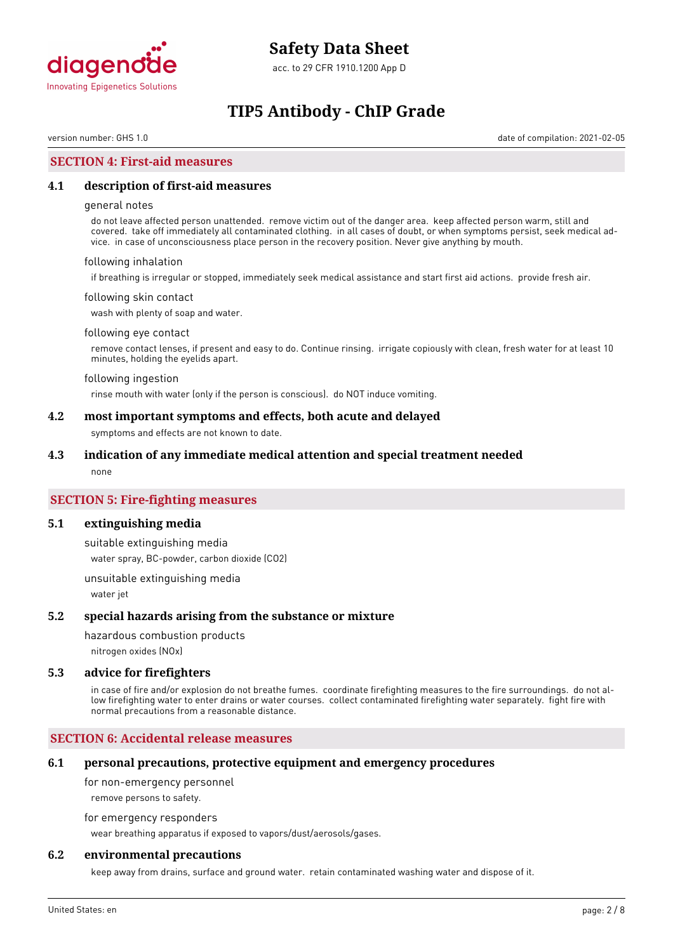

# **TIP5 Antibody - ChIP Grade**

version number: GHS 1.0 date of compilation: 2021-02-05

### **SECTION 4: First-aid measures**

#### **4.1 description of first-aid measures**

#### general notes

do not leave affected person unattended. remove victim out of the danger area. keep affected person warm, still and covered. take off immediately all contaminated clothing. in all cases of doubt, or when symptoms persist, seek medical advice. in case of unconsciousness place person in the recovery position. Never give anything by mouth.

#### following inhalation

if breathing is irregular or stopped, immediately seek medical assistance and start first aid actions. provide fresh air.

#### following skin contact

wash with plenty of soap and water.

#### following eye contact

remove contact lenses, if present and easy to do. Continue rinsing. irrigate copiously with clean, fresh water for at least 10 minutes, holding the eyelids apart.

#### following ingestion

rinse mouth with water (only if the person is conscious). do NOT induce vomiting.

### **4.2 most important symptoms and effects, both acute and delayed**

symptoms and effects are not known to date.

#### **4.3 indication of any immediate medical attention and special treatment needed**

none

### **SECTION 5: Fire-fighting measures**

#### **5.1 extinguishing media**

suitable extinguishing media water spray, BC-powder, carbon dioxide (CO2)

unsuitable extinguishing media water jet

#### **5.2 special hazards arising from the substance or mixture**

hazardous combustion products

nitrogen oxides (NOx)

#### **5.3 advice for firefighters**

in case of fire and/or explosion do not breathe fumes. coordinate firefighting measures to the fire surroundings. do not allow firefighting water to enter drains or water courses. collect contaminated firefighting water separately. fight fire with normal precautions from a reasonable distance.

### **SECTION 6: Accidental release measures**

#### **6.1 personal precautions, protective equipment and emergency procedures**

for non-emergency personnel

remove persons to safety.

for emergency responders

wear breathing apparatus if exposed to vapors/dust/aerosols/gases.

### **6.2 environmental precautions**

keep away from drains, surface and ground water. retain contaminated washing water and dispose of it.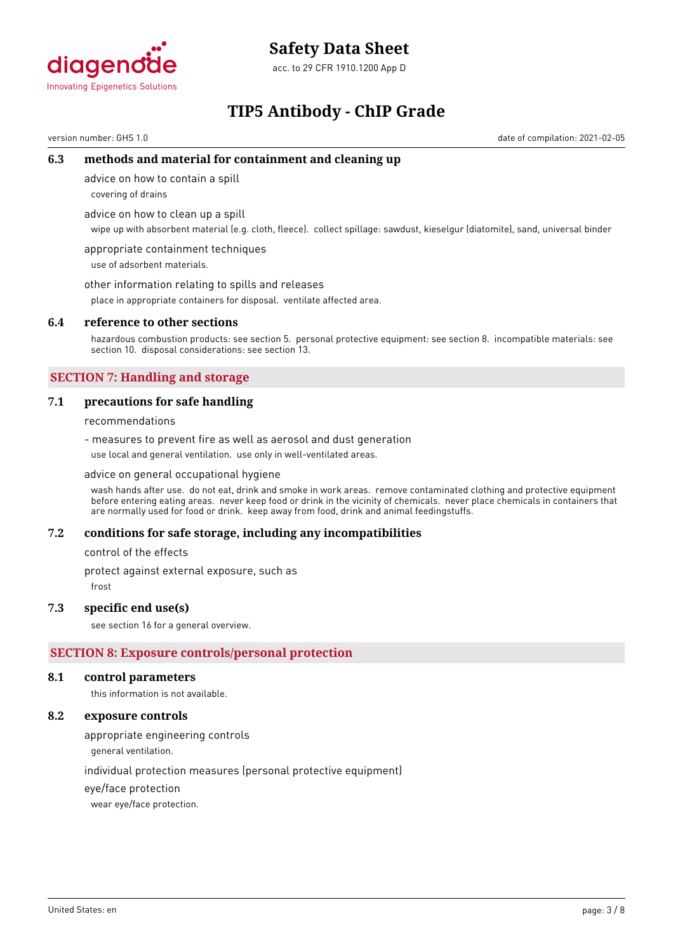

# **Safety Data Sheet**

acc. to 29 CFR 1910.1200 App D

# **TIP5 Antibody - ChIP Grade**

version number: GHS 1.0 date of compilation: 2021-02-05

# **6.3 methods and material for containment and cleaning up**

advice on how to contain a spill

covering of drains

advice on how to clean up a spill

wipe up with absorbent material (e.g. cloth, fleece). collect spillage: sawdust, kieselgur (diatomite), sand, universal binder

appropriate containment techniques use of adsorbent materials.

other information relating to spills and releases

place in appropriate containers for disposal. ventilate affected area.

### **6.4 reference to other sections**

hazardous combustion products: see section 5. personal protective equipment: see section 8. incompatible materials: see section 10. disposal considerations: see section 13.

# **SECTION 7: Handling and storage**

### **7.1 precautions for safe handling**

recommendations

- measures to prevent fire as well as aerosol and dust generation use local and general ventilation. use only in well-ventilated areas.

advice on general occupational hygiene

wash hands after use. do not eat, drink and smoke in work areas. remove contaminated clothing and protective equipment before entering eating areas. never keep food or drink in the vicinity of chemicals. never place chemicals in containers that are normally used for food or drink. keep away from food, drink and animal feedingstuffs.

#### **7.2 conditions for safe storage, including any incompatibilities**

control of the effects

protect against external exposure, such as

frost

#### **7.3 specific end use(s)**

see section 16 for a general overview.

# **SECTION 8: Exposure controls/personal protection**

#### **8.1 control parameters**

this information is not available.

### **8.2 exposure controls**

appropriate engineering controls

general ventilation.

individual protection measures (personal protective equipment)

eye/face protection

wear eye/face protection.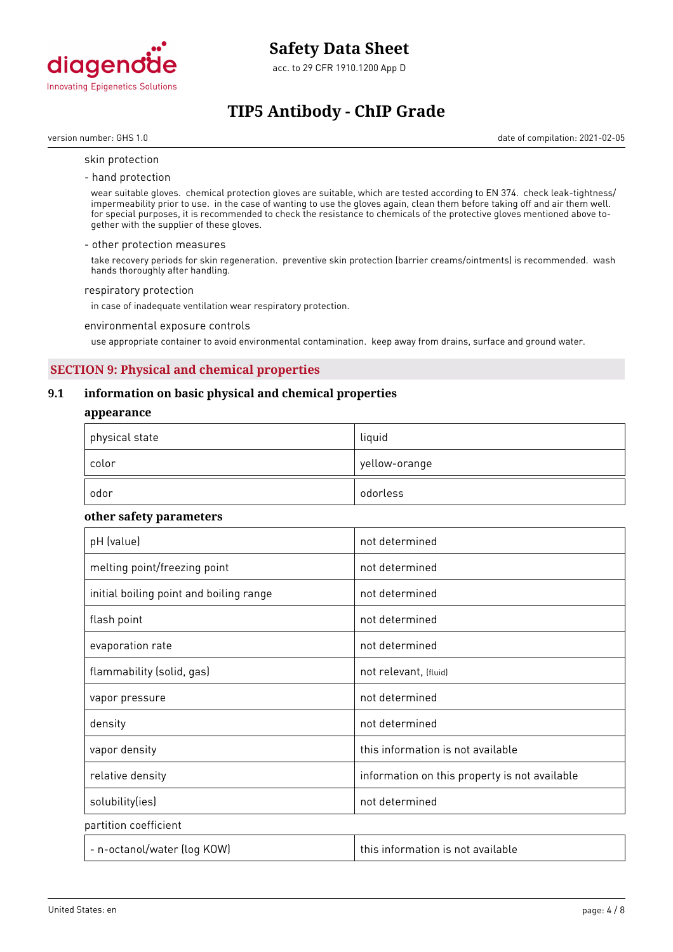

acc. to 29 CFR 1910.1200 App D

# **TIP5 Antibody - ChIP Grade**

version number: GHS 1.0 date of compilation: 2021-02-05

#### skin protection

- hand protection

wear suitable gloves. chemical protection gloves are suitable, which are tested according to EN 374. check leak-tightness/ impermeability prior to use. in the case of wanting to use the gloves again, clean them before taking off and air them well. for special purposes, it is recommended to check the resistance to chemicals of the protective gloves mentioned above together with the supplier of these gloves.

#### - other protection measures

take recovery periods for skin regeneration. preventive skin protection (barrier creams/ointments) is recommended. wash hands thoroughly after handling.

#### respiratory protection

in case of inadequate ventilation wear respiratory protection.

#### environmental exposure controls

use appropriate container to avoid environmental contamination. keep away from drains, surface and ground water.

# **SECTION 9: Physical and chemical properties**

### **9.1 information on basic physical and chemical properties**

#### **appearance**

| physical state | liquid        |
|----------------|---------------|
| color          | yellow-orange |
| odor           | odorless      |

#### **other safety parameters**

| pH (value)                              | not determined                                |
|-----------------------------------------|-----------------------------------------------|
| melting point/freezing point            | not determined                                |
| initial boiling point and boiling range | not determined                                |
| flash point                             | not determined                                |
| evaporation rate                        | not determined                                |
| flammability (solid, gas)               | not relevant, (fluid)                         |
| vapor pressure                          | not determined                                |
| density                                 | not determined                                |
| vapor density                           | this information is not available             |
| relative density                        | information on this property is not available |
| solubility(ies)                         | not determined                                |
| partition coefficient                   |                                               |
| - n-octanol/water (log KOW)             | this information is not available             |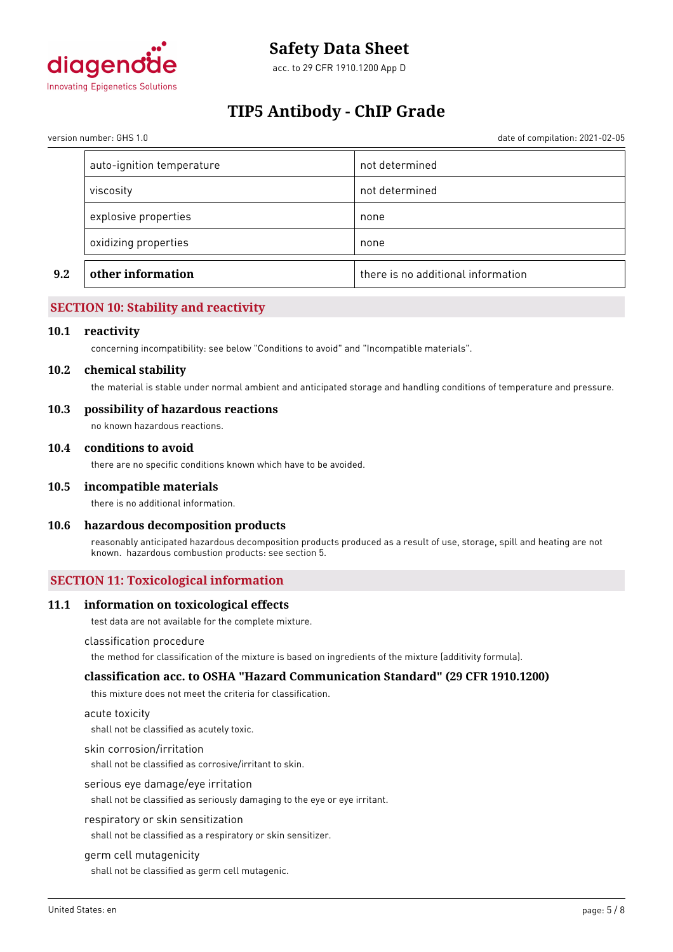

acc. to 29 CFR 1910.1200 App D

# **TIP5 Antibody - ChIP Grade**

version number: GHS 1.0 date of compilation: 2021-02-05

| oxidizing properties      | none           |
|---------------------------|----------------|
|                           |                |
| explosive properties      | none           |
| viscosity                 | not determined |
| auto-ignition temperature | not determined |

# **SECTION 10: Stability and reactivity**

#### **10.1 reactivity**

concerning incompatibility: see below "Conditions to avoid" and "Incompatible materials".

#### **10.2 chemical stability**

the material is stable under normal ambient and anticipated storage and handling conditions of temperature and pressure.

#### **10.3 possibility of hazardous reactions**

no known hazardous reactions.

#### **10.4 conditions to avoid**

there are no specific conditions known which have to be avoided.

#### **10.5 incompatible materials**

there is no additional information.

#### **10.6 hazardous decomposition products**

reasonably anticipated hazardous decomposition products produced as a result of use, storage, spill and heating are not known. hazardous combustion products: see section 5.

# **SECTION 11: Toxicological information**

#### **11.1 information on toxicological effects**

test data are not available for the complete mixture.

#### classification procedure

the method for classification of the mixture is based on ingredients of the mixture (additivity formula).

#### **classification acc. to OSHA "Hazard Communication Standard" (29 CFR 1910.1200)**

this mixture does not meet the criteria for classification.

#### acute toxicity

shall not be classified as acutely toxic.

#### skin corrosion/irritation

shall not be classified as corrosive/irritant to skin.

#### serious eye damage/eye irritation

shall not be classified as seriously damaging to the eye or eye irritant.

#### respiratory or skin sensitization

shall not be classified as a respiratory or skin sensitizer.

#### germ cell mutagenicity

shall not be classified as germ cell mutagenic.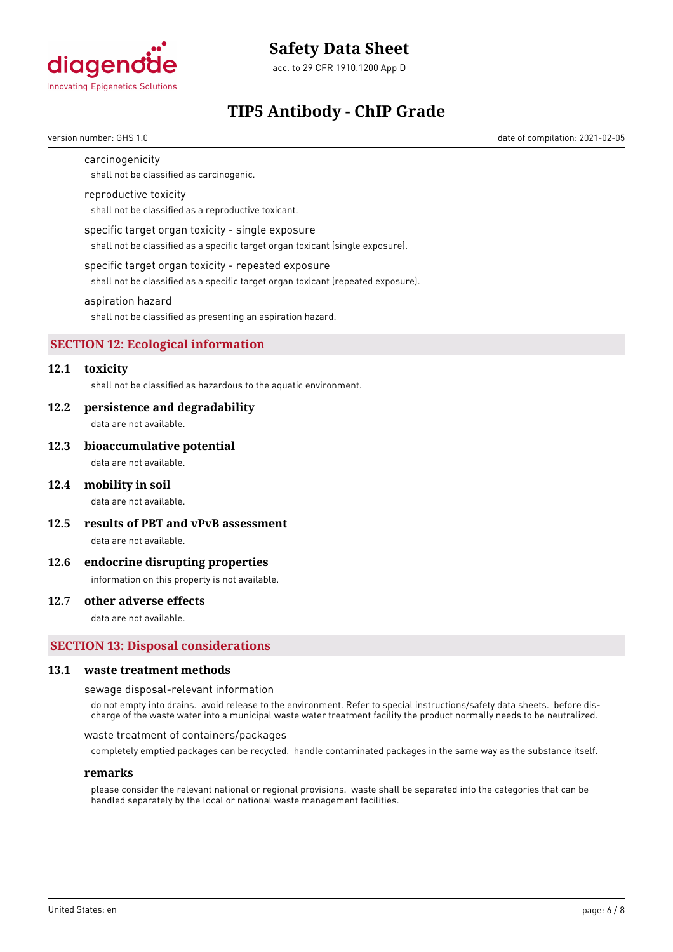

acc. to 29 CFR 1910.1200 App D

# **TIP5 Antibody - ChIP Grade**

version number: GHS 1.0 date of compilation: 2021-02-05

#### carcinogenicity

shall not be classified as carcinogenic.

#### reproductive toxicity

shall not be classified as a reproductive toxicant.

#### specific target organ toxicity - single exposure

shall not be classified as a specific target organ toxicant (single exposure).

#### specific target organ toxicity - repeated exposure

shall not be classified as a specific target organ toxicant (repeated exposure).

#### aspiration hazard

shall not be classified as presenting an aspiration hazard.

# **SECTION 12: Ecological information**

# **12.1 toxicity**

shall not be classified as hazardous to the aquatic environment.

#### **12.2 persistence and degradability**

data are not available.

#### **12.3 bioaccumulative potential**

data are not available.

#### **12.4 mobility in soil**

data are not available.

**12.5 results of PBT and vPvB assessment**

data are not available.

### **12.6 endocrine disrupting properties**

information on this property is not available.

### **12.7 other adverse effects**

data are not available.

#### **SECTION 13: Disposal considerations**

#### **13.1 waste treatment methods**

sewage disposal-relevant information

do not empty into drains. avoid release to the environment. Refer to special instructions/safety data sheets. before discharge of the waste water into a municipal waste water treatment facility the product normally needs to be neutralized.

waste treatment of containers/packages

completely emptied packages can be recycled. handle contaminated packages in the same way as the substance itself.

#### **remarks**

please consider the relevant national or regional provisions. waste shall be separated into the categories that can be handled separately by the local or national waste management facilities.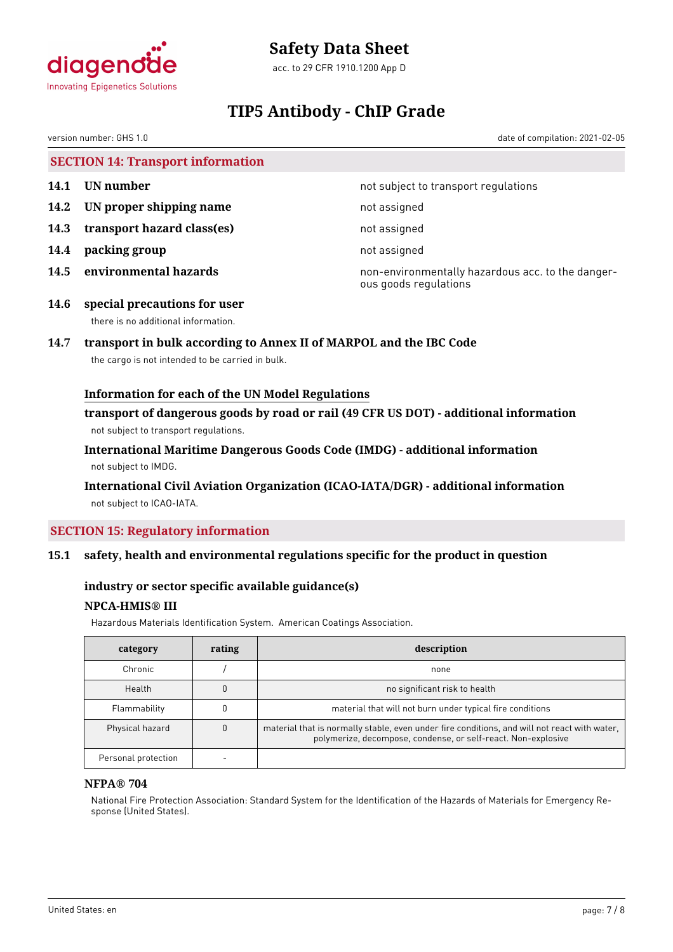

# **Safety Data Sheet**

acc. to 29 CFR 1910.1200 App D

# **TIP5 Antibody - ChIP Grade**

version number: GHS 1.0 date of compilation: 2021-02-05

**SECTION 14: Transport information**

- 
- **14.2 UN proper shipping name** not assigned
- **14.3 transport hazard class(es)** not assigned
- **14.4 packing group** not assigned
- 

**14.1 UN number 14.1 UN** number

**14.5 environmental hazards non-environmentally hazardous acc. to the danger**ous goods regulations

**14.6 special precautions for user** there is no additional information.

# **14.7 transport in bulk according to Annex II of MARPOL and the IBC Code**

the cargo is not intended to be carried in bulk.

# **Information for each of the UN Model Regulations**

**transport of dangerous goods by road or rail (49 CFR US DOT) - additional information** not subject to transport regulations.

**International Maritime Dangerous Goods Code (IMDG) - additional information** not subject to IMDG.

# **International Civil Aviation Organization (ICAO-IATA/DGR) - additional information** not subject to ICAO-IATA.

# **SECTION 15: Regulatory information**

# **15.1 safety, health and environmental regulations specific for the product in question**

# **industry or sector specific available guidance(s)**

# **NPCA-HMIS® III**

Hazardous Materials Identification System. American Coatings Association.

| category            | rating | description                                                                                                                                                   |
|---------------------|--------|---------------------------------------------------------------------------------------------------------------------------------------------------------------|
| Chronic             |        | none                                                                                                                                                          |
| Health              |        | no significant risk to health                                                                                                                                 |
| Flammability        |        | material that will not burn under typical fire conditions                                                                                                     |
| Physical hazard     |        | material that is normally stable, even under fire conditions, and will not react with water,<br>polymerize, decompose, condense, or self-react. Non-explosive |
| Personal protection |        |                                                                                                                                                               |

# **NFPA® 704**

National Fire Protection Association: Standard System for the Identification of the Hazards of Materials for Emergency Response (United States).